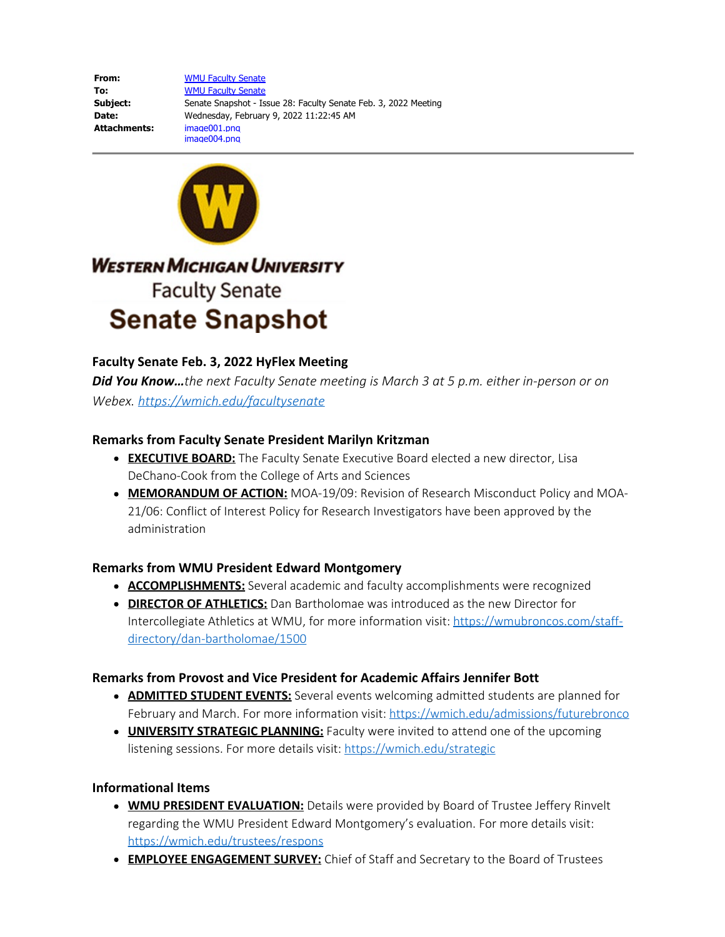**From:** [WMU Faculty Senate](mailto:faculty-senate@wmich.edu) **To:** [WMU Faculty Senate](mailto:faculty-senate@wmich.edu) **Subject:** Senate Snapshot - Issue 28: Faculty Senate Feb. 3, 2022 Meeting **Date:** Wednesday, February 9, 2022 11:22:45 AM **Attachments:** image001.png image004.png



# **WESTERN MICHIGAN UNIVERSITY Faculty Senate Senate Snapshot**

## **Faculty Senate Feb. 3, 2022 HyFlex Meeting**

*Did You Know…the next Faculty Senate meeting is March 3 at 5 p.m. either in-person or on Webex. [https://wmich.edu/facultysenate](https://nam11.safelinks.protection.outlook.com/?url=https%3A%2F%2Fwmich.edu%2Ffacultysenate&data=04%7C01%7Csue.brodasky%40wmich.edu%7C817f7e796d4a426b378608d9ebe8633f%7C257622517aa94c72905f39bf026a8a84%7C0%7C0%7C637800205643221348%7CUnknown%7CTWFpbGZsb3d8eyJWIjoiMC4wLjAwMDAiLCJQIjoiV2luMzIiLCJBTiI6Ik1haWwiLCJXVCI6Mn0%3D%7C3000&sdata=k0B2t8ur%2BqXUrY9srKXgf9GrWRwCzs0zZkja3AchH7Q%3D&reserved=0)*

### **Remarks from Faculty Senate President Marilyn Kritzman**

- **EXECUTIVE BOARD:** The Faculty Senate Executive Board elected a new director, Lisa DeChano-Cook from the College of Arts and Sciences
- **MEMORANDUM OF ACTION:** MOA-19/09: Revision of Research Misconduct Policy and MOA-21/06: Conflict of Interest Policy for Research Investigators have been approved by the administration

#### **Remarks from WMU President Edward Montgomery**

- **ACCOMPLISHMENTS:** Several academic and faculty accomplishments were recognized
- **DIRECTOR OF ATHLETICS:** Dan Bartholomae was introduced as the new Director for Intercollegiate Athletics at WMU, for more information visit: [https://wmubroncos.com/staff](https://nam11.safelinks.protection.outlook.com/?url=https%3A%2F%2Fwmubroncos.com%2Fstaff-directory%2Fdan-bartholomae%2F1500&data=04%7C01%7Csue.brodasky%40wmich.edu%7C817f7e796d4a426b378608d9ebe8633f%7C257622517aa94c72905f39bf026a8a84%7C0%7C0%7C637800205643221348%7CUnknown%7CTWFpbGZsb3d8eyJWIjoiMC4wLjAwMDAiLCJQIjoiV2luMzIiLCJBTiI6Ik1haWwiLCJXVCI6Mn0%3D%7C3000&sdata=Z%2FGWoU%2BWCyDkaEE%2F9adCGQsylhEcJaQola84FSv0Sl4%3D&reserved=0)[directory/dan-bartholomae/1500](https://nam11.safelinks.protection.outlook.com/?url=https%3A%2F%2Fwmubroncos.com%2Fstaff-directory%2Fdan-bartholomae%2F1500&data=04%7C01%7Csue.brodasky%40wmich.edu%7C817f7e796d4a426b378608d9ebe8633f%7C257622517aa94c72905f39bf026a8a84%7C0%7C0%7C637800205643221348%7CUnknown%7CTWFpbGZsb3d8eyJWIjoiMC4wLjAwMDAiLCJQIjoiV2luMzIiLCJBTiI6Ik1haWwiLCJXVCI6Mn0%3D%7C3000&sdata=Z%2FGWoU%2BWCyDkaEE%2F9adCGQsylhEcJaQola84FSv0Sl4%3D&reserved=0)

## **Remarks from Provost and Vice President for Academic Affairs Jennifer Bott**

- **ADMITTED STUDENT EVENTS:** Several events welcoming admitted students are planned for February and March. For more information visit: [https://wmich.edu/admissions/futurebronco](https://nam11.safelinks.protection.outlook.com/?url=https%3A%2F%2Fwmich.edu%2Fadmissions%2Ffuturebronco&data=04%7C01%7Csue.brodasky%40wmich.edu%7C817f7e796d4a426b378608d9ebe8633f%7C257622517aa94c72905f39bf026a8a84%7C0%7C0%7C637800205643221348%7CUnknown%7CTWFpbGZsb3d8eyJWIjoiMC4wLjAwMDAiLCJQIjoiV2luMzIiLCJBTiI6Ik1haWwiLCJXVCI6Mn0%3D%7C3000&sdata=8xFZkJXda6nvhSFxdM4We63fowdMBpGRZug50y%2F2d0o%3D&reserved=0)
- **UNIVERSITY STRATEGIC PLANNING:** Faculty were invited to attend one of the upcoming listening sessions. For more details visit: [https://wmich.edu/strategic](https://nam11.safelinks.protection.outlook.com/?url=https%3A%2F%2Fwmich.edu%2Fstrategic&data=04%7C01%7Csue.brodasky%40wmich.edu%7C817f7e796d4a426b378608d9ebe8633f%7C257622517aa94c72905f39bf026a8a84%7C0%7C0%7C637800205643221348%7CUnknown%7CTWFpbGZsb3d8eyJWIjoiMC4wLjAwMDAiLCJQIjoiV2luMzIiLCJBTiI6Ik1haWwiLCJXVCI6Mn0%3D%7C3000&sdata=XnvggNg78QSYkeutLml8GxIW2otmcTqGMLgllm2YKto%3D&reserved=0)

## **Informational Items**

- **WMU PRESIDENT EVALUATION:** Details were provided by Board of Trustee Jeffery Rinvelt regarding the WMU President Edward Montgomery's evaluation. For more details visit: [https://wmich.edu/trustees/respons](https://nam11.safelinks.protection.outlook.com/?url=https%3A%2F%2Fwmich.edu%2Ftrustees%2Frespons&data=04%7C01%7Csue.brodasky%40wmich.edu%7C817f7e796d4a426b378608d9ebe8633f%7C257622517aa94c72905f39bf026a8a84%7C0%7C0%7C637800205643221348%7CUnknown%7CTWFpbGZsb3d8eyJWIjoiMC4wLjAwMDAiLCJQIjoiV2luMzIiLCJBTiI6Ik1haWwiLCJXVCI6Mn0%3D%7C3000&sdata=jbDANYrNi5LAJ1LzDjqFrx6EIkw7G10SdpXY%2FYa1b8M%3D&reserved=0)
- **EMPLOYEE ENGAGEMENT SURVEY:** Chief of Staff and Secretary to the Board of Trustees